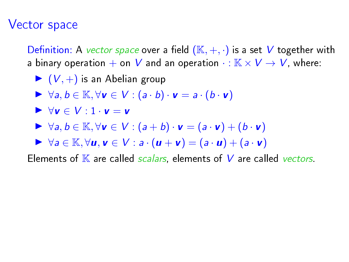## Vector space

Definition: A *vector space* over a field  $(\mathbb{K}, +, \cdot)$  is a set V together with a binary operation  $+$  on  $V$  and an operation  $\cdot : \mathbb{K} \times V \to V$ , where:

$$
\blacktriangleright
$$
  $(V, +)$  is an Abelian group

- $\blacktriangleright \forall a, b \in \mathbb{K}, \forall v \in V : (a \cdot b) \cdot v = a \cdot (b \cdot v)$
- $\blacktriangleright \forall v \in V : 1 \cdot v = v$
- $\triangleright$   $\forall a, b \in \mathbb{K}, \forall v \in V : (a + b) \cdot v = (a \cdot v) + (b \cdot v)$
- $\triangleright \forall a \in \mathbb{K}, \forall u, v \in V : a \cdot (u + v) = (a \cdot u) + (a \cdot v)$

Elements of  $K$  are called *scalars*, elements of  $V$  are called *vectors*.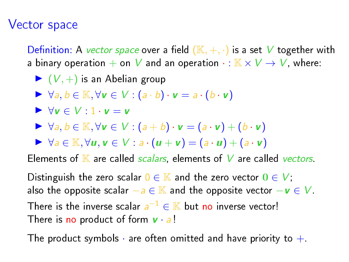## Vector space

Definition: A vector space over a field  $(K, +, \cdot)$  is a set V together with a binary operation  $+$  on  $V$  and an operation  $\cdot : \mathbb{K} \times V \to V$ , where:

- $\blacktriangleright$   $(V,+)$  is an Abelian group
- $\blacktriangleright \forall a, b \in \mathbb{K}, \forall v \in V : (a \cdot b) \cdot v = a \cdot (b \cdot v)$
- $\blacktriangleright \forall v \in V : 1 \cdot v = v$
- $\blacktriangleright \forall a, b \in \mathbb{K}, \forall v \in V : (a + b) \cdot v = (a \cdot v) + (b \cdot v)$
- $\blacktriangleright \forall a \in \mathbb{K}, \forall u, v \in V : a \cdot (u + v) = (a \cdot u) + (a \cdot v)$

Elements of  $K$  are called *scalars*, elements of  $V$  are called *vectors*.

Distinguish the zero scalar  $0 \in \mathbb{K}$  and the zero vector  $0 \in V$ . also the opposite scalar  $-a \in \mathbb{K}$  and the opposite vector  $-v \in V$ .

There is the inverse scalar  $a^{-1} \in \mathbb{K}$  but no inverse vector! There is no product of form  $v \cdot a!$ 

The product symbols  $\cdot$  are often omitted and have priority to  $+$ .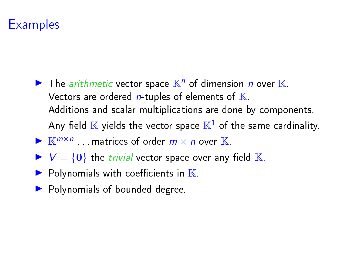# **Examples**

- $\blacktriangleright$  The *arithmetic* vector space  $\mathbb{K}^n$  of dimension *n* over  $\mathbb{K}$ . Vectors are ordered  $n$ -tuples of elements of  $K$ . Additions and scalar multiplications are done by components. Any field  $\mathbb K$  yields the vector space  $\mathbb K^1$  of the same cardinality. If  $\mathbb{K}^{m \times n}$  matrices of order  $m \times n$  over  $\mathbb{K}$ .
- $V = \{0\}$  the *trivial* vector space over any field K.
- $\blacktriangleright$  Polynomials with coefficients in  $\mathbb K$ .
- $\blacktriangleright$  Polynomials of bounded degree.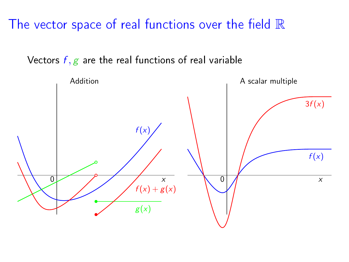The vector space of real functions over the field  $\mathbb R$ 

Vectors  $f, g$  are the real functions of real variable

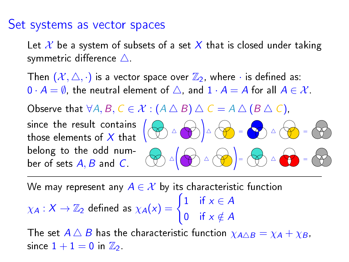#### Set systems as vector spaces

Let  $\mathcal X$  be a system of subsets of a set  $X$  that is closed under taking symmetric difference  $\triangle$ .

Then  $(\mathcal{X}, \triangle, \cdot)$  is a vector space over  $\mathbb{Z}_2$ , where  $\cdot$  is defined as:  $0 \cdot A = \emptyset$ , the neutral element of  $\triangle$ , and  $1 \cdot A = A$  for all  $A \in \mathcal{X}$ .

Observe that  $\forall A, B, C \in \mathcal{X} : (A \triangle B) \triangle C = A \triangle (B \triangle C)$ ,

since the result contains those elements of  $X$  that  $\sqrt{2}$ belong to the odd number of sets  $A, B$  and  $C$ .



We may represent any  $A \in \mathcal{X}$  by its characteristic function

$$
\chi_A: X \to \mathbb{Z}_2 \text{ defined as } \chi_A(x) = \begin{cases} 1 & \text{if } x \in A \\ 0 & \text{if } x \notin A \end{cases}
$$

The set  $A \triangle B$  has the characteristic function  $\chi_{A \triangle B} = \chi_A + \chi_B$ , since  $1+1=0$  in  $\mathbb{Z}_2$ .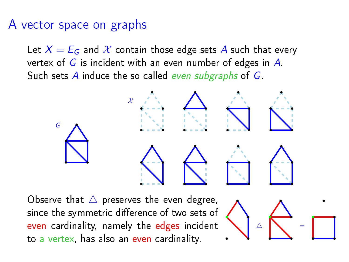## A vector space on graphs

Let  $X = E_G$  and X contain those edge sets A such that every vertex of  $G$  is incident with an even number of edges in  $A$ . Such sets  $A$  induce the so called even subgraphs of  $G$ .

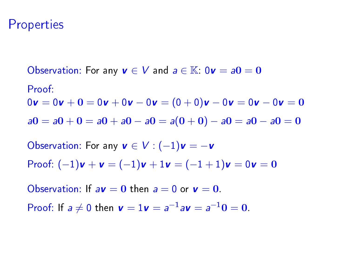#### **Properties**

Observation: For any  $v \in V$  and  $a \in K$ :  $0v = a0 = 0$ Proof:  $0v = 0v + 0 = 0v + 0v - 0v = (0 + 0)v - 0v = 0v - 0v = 0$  $a0 = a0 + 0 = a0 + a0 - a0 = a(0 + 0) - a0 = a0 - a0 = 0$ 

Observation: For any  $v \in V : (-1)v = -v$ Proof:  $(-1)\mathbf{v} + \mathbf{v} = (-1)\mathbf{v} + 1\mathbf{v} = (-1 + 1)\mathbf{v} = 0\mathbf{v} = 0$ 

Observation: If  $a\mathbf{v} = \mathbf{0}$  then  $a = 0$  or  $\mathbf{v} = \mathbf{0}$ .

Proof: If  $a \neq 0$  then  $v = 1v = a^{-1}av = a^{-1}0 = 0$ .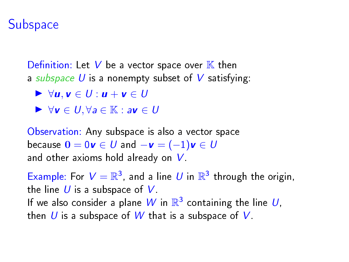#### **Subspace**

Definition: Let V be a vector space over  $\mathbb K$  then a subspace U is a nonempty subset of V satisfying:

$$
\blacktriangleright \forall u, v \in U: u + v \in U
$$

 $\triangleright \forall v \in U, \forall a \in \mathbb{K} : av \in U$ 

Observation: Any subspace is also a vector space because  $\mathbf{0} = 0\mathbf{v} \in U$  and  $-\mathbf{v} = (-1)\mathbf{v} \in U$ and other axioms hold already on  $V$ .

Example: For  $V = \mathbb{R}^3$ , and a line U in  $\mathbb{R}^3$  through the origin, the line  $U$  is a subspace of  $V$ . If we also consider a plane  $W$  in  $\mathbb{R}^3$  containing the line  $U,$ then U is a subspace of W that is a subspace of V.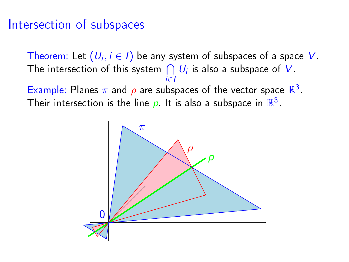## Intersection of subspaces

Theorem: Let  $(U_i, i \in I)$  be any system of subspaces of a space  $V$ . The intersection of this system  $\bigcap\,U_i$  is also a subspace of  $V$ i∈I Example: Planes  $\pi$  and  $\rho$  are subspaces of the vector space  $\mathbb{R}^3$ . Their intersection is the line  $\rho$ . It is also a subspace in  $\mathbb{R}^3$ .

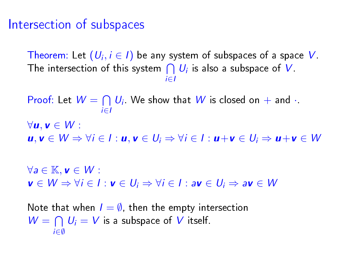#### Intersection of subspaces

Theorem: Let  $(U_i, i \in I)$  be any system of subspaces of a space  $V$ . The intersection of this system  $\bigcap\,U_i$  is also a subspace of  $V$ i∈I

Proof: Let  $W = \bigcap_{i=1}^n U_i$ . We show that  $W$  is closed on  $+$  and  $\cdot$ . i∈I  $\forall u, v \in W$ :  $u, v \in W \Rightarrow \forall i \in I : u, v \in U_i \Rightarrow \forall i \in I : u + v \in U_i \Rightarrow u + v \in W$  $\forall a \in \mathbb{K}, \mathbf{v} \in W$ :  $v \in W \Rightarrow \forall i \in I : v \in U_i \Rightarrow \forall i \in I : av \in U_i \Rightarrow av \in W$ 

Note that when  $I = \emptyset$ , then the empty intersection  $W = \bigcap U_i = V$  is a subspace of V itself. i∈∅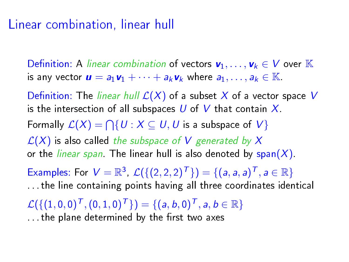## Linear combination, linear hull

Definition: A linear combination of vectors  $v_1, \ldots, v_k \in V$  over  $\mathbb K$ is any vector  $\mathbf{u} = a_1 \mathbf{v}_1 + \cdots + a_k \mathbf{v}_k$  where  $a_1, \ldots, a_k \in \mathbb{K}$ .

Definition: The linear hull  $\mathcal{L}(X)$  of a subset X of a vector space V is the intersection of all subspaces  $U$  of  $V$  that contain  $X$ . Formally  $\mathcal{L}(X) = \bigcap \{ U : X \subseteq U, U \text{ is a subspace of } V \}$  $\mathcal{L}(X)$  is also called the subspace of V generated by X or the *linear span*. The linear hull is also denoted by span $(X)$ . Examples: For  $V = \mathbb{R}^3$ ,  $\mathcal{L}(\{(2,2,2)^T\}) = \{(a, a, a)^T, a \in \mathbb{R}\}\$ . . . the line containing points having all three coordinates identical  $\mathcal{L}(\{(1,0,0)^{\mathcal{T}},(0,1,0)^{\mathcal{T}}\}) = \{(a,b,0)^{\mathcal{T}},a,b\in\mathbb{R}\}$ ... the plane determined by the first two axes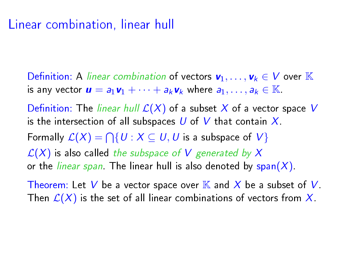## Linear combination, linear hull

Definition: A linear combination of vectors  $v_1, \ldots, v_k \in V$  over K is any vector  $\mathbf{u} = a_1 \mathbf{v}_1 + \cdots + a_k \mathbf{v}_k$  where  $a_1, \ldots, a_k \in \mathbb{K}$ .

Definition: The linear hull  $\mathcal{L}(X)$  of a subset X of a vector space V is the intersection of all subspaces U of V that contain  $X$ . Formally  $\mathcal{L}(X) = \bigcap \{ U : X \subseteq U, U$  is a subspace of  $V \}$  $\mathcal{L}(X)$  is also called the subspace of V generated by X or the *linear span*. The linear hull is also denoted by span $(X)$ .

Theorem: Let V be a vector space over  $\mathbb K$  and X be a subset of V. Then  $\mathcal{L}(X)$  is the set of all linear combinations of vectors from X.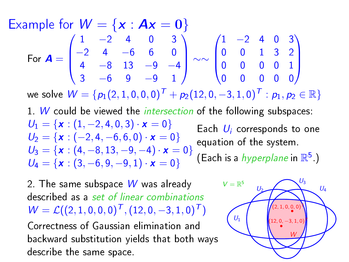Example for  $W = \{x : Ax = 0\}$ For  $A =$  $\sqrt{ }$  $\overline{\phantom{a}}$  $1$   $-2$  4 0 3 −2 4 −6 6 0 4 −8 13 −9 −4 3 −6 9 −9 1  $\setminus$  ∼∼  $\sqrt{ }$  $\overline{\phantom{a}}$  $1 -2 4 0 3$ 0 0 1 3 2 0 0 0 0 1 0 0 0 0 0 <sup>1</sup>  $\overline{\phantom{a}}$ 

we solve  $W = \{p_1(2, 1, 0, 0, 0)^T + p_2(12, 0, -3, 1, 0)^T : p_1, p_2 \in \mathbb{R}\}\$ 

1. W could be viewed the *intersection* of the following subspaces:  $U_1 = \{x : (1, -2, 4, 0, 3) \cdot x = 0\}$  $U_2 = \{x: (-2, 4, -6, 6, 0) \cdot x = 0\}$  $U_3 = \{x : (4, -8, 13, -9, -4) \cdot x = 0\}$  $U_4 = \{x : (3, -6, 9, -9, 1) \cdot x = 0\}$ Each  $U_i$  corresponds to one equation of the system. (Each is a *hyperplane* in  $\mathbb{R}^5$  )

2. The same subspace  $W$  was already described as a set of linear combinations  $W = \mathcal{L}((2, 1, 0, 0, 0)^{\mathsf{T}}, (12, 0, -3, 1, 0)^{\mathsf{T}})$ Correctness of Gaussian elimination and

backward substitution yields that both ways  $\begin{picture}(16,17) \put(0,0){\line(1,0){15}} \put(15,0){\line(1,0){15}} \put(15,0){\line(1,0){15}} \put(15,0){\line(1,0){15}} \put(15,0){\line(1,0){15}} \put(15,0){\line(1,0){15}} \put(15,0){\line(1,0){15}} \put(15,0){\line(1,0){15}} \put(15,0){\line(1,0){15}} \put(1$ 

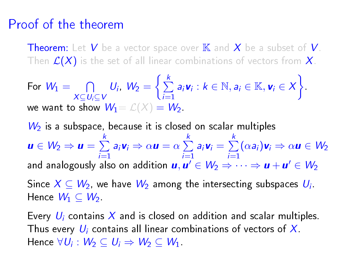## Proof of the theorem

**Theorem:** Let V be a vector space over  $\mathbb{K}$  and X be a subset of V. Then  $\mathcal{L}(X)$  is the set of all linear combinations of vectors from  $X$ .

For 
$$
W_1 = \bigcap_{X \subseteq U_i \subseteq V} U_i
$$
,  $W_2 = \left\{ \sum_{i=1}^k a_i \mathbf{v}_i : k \in \mathbb{N}, a_i \in \mathbb{K}, \mathbf{v}_i \in X \right\}$   
we want to show  $W_1 = \mathcal{L}(X) = W_2$ .

 $W_2$  is a subspace, because it is closed on scalar multiples  $u \in W_2 \Rightarrow u = \sum_{k=1}^k$  $\sum_{i=1}^k a_i \mathbf{v}_i \Rightarrow \alpha \mathbf{u} = \alpha \sum_{i=1}^k$  $\sum_{i=1}$ a<sub>i</sub>  $v_i = \sum^k$  $\sum_{i=1}^n (\alpha a_i) \mathbf{v}_i \Rightarrow \alpha \mathbf{u} \in W_2$ and analogously also on addition  $\bm{u}, \bm{u}' \in W_2 \Rightarrow \dots \Rightarrow \bm{u} + \bm{u}' \in W_2$ Since  $X \subseteq W_2$ , we have  $W_2$  among the intersecting subspaces  $U_i$ . Hence  $W_1 \subseteq W_2$ .

Every  $U_i$  contains X and is closed on addition and scalar multiples. Thus every  $U_i$  contains all linear combinations of vectors of X. Hence  $\forall U_i: W_2 \subseteq U_i \Rightarrow W_2 \subseteq W_1$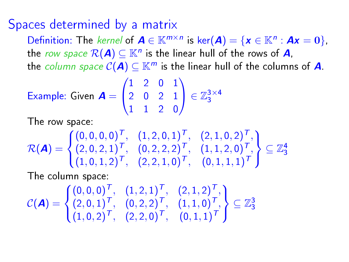#### Spaces determined by a matrix

Definition: The kernel of  $A \in \mathbb{K}^{m \times n}$  is ker $(A) = \{x \in \mathbb{K}^n : Ax = 0\},\$ the row space  $\mathcal{R}(\boldsymbol{A}) \subseteq \mathbb{K}^n$  is the linear hull of the rows of  $\boldsymbol{A}$ , the column space  $C(A) \subseteq \mathbb{K}^m$  is the linear hull of the columns of A.

Example: Given 
$$
A = \begin{pmatrix} 1 & 2 & 0 & 1 \\ 2 & 0 & 2 & 1 \\ 1 & 1 & 2 & 0 \end{pmatrix} \in \mathbb{Z}_3^{3 \times 4}
$$

I he row space:

$$
\mathcal{R}(\mathbf{A}) = \begin{cases} (0,0,0,0)^{\top}, & (1,2,0,1)^{\top}, & (2,1,0,2)^{\top}, \\ (2,0,2,1)^{\top}, & (0,2,2,2)^{\top}, & (1,1,2,0)^{\top}, \\ (1,0,1,2)^{\top}, & (2,2,1,0)^{\top}, & (0,1,1,1)^{\top} \end{cases} \subseteq \mathbb{Z}_3^4
$$

The column space:

$$
\mathcal{C}(\mathbf{A}) = \begin{cases} (0,0,0)^{\top}, & (1,2,1)^{\top}, & (2,1,2)^{\top}, \\ (2,0,1)^{\top}, & (0,2,2)^{\top}, & (1,1,0)^{\top}, \\ (1,0,2)^{\top}, & (2,2,0)^{\top}, & (0,1,1)^{\top} \end{cases} \subseteq \mathbb{Z}_3^3
$$